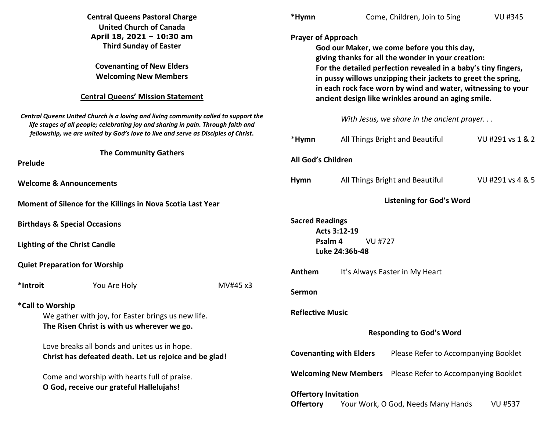|                                                                                                                                                                          | <b>Central Queens Pastoral Charge</b><br><b>United Church of Canada</b><br>April 18, 2021 - 10:30 am<br><b>Third Sunday of Easter</b><br><b>Covenanting of New Elders</b><br><b>Welcoming New Members</b><br><b>Central Queens' Mission Statement</b> |                                            | *Hymn                                                                                                                                                                                                                                                                                                                                                                                    | Come, Children, Join to Sing                                         | <b>VU #345</b>   |
|--------------------------------------------------------------------------------------------------------------------------------------------------------------------------|-------------------------------------------------------------------------------------------------------------------------------------------------------------------------------------------------------------------------------------------------------|--------------------------------------------|------------------------------------------------------------------------------------------------------------------------------------------------------------------------------------------------------------------------------------------------------------------------------------------------------------------------------------------------------------------------------------------|----------------------------------------------------------------------|------------------|
|                                                                                                                                                                          |                                                                                                                                                                                                                                                       |                                            | <b>Prayer of Approach</b><br>God our Maker, we come before you this day,<br>giving thanks for all the wonder in your creation:<br>For the detailed perfection revealed in a baby's tiny fingers,<br>in pussy willows unzipping their jackets to greet the spring,<br>in each rock face worn by wind and water, witnessing to your<br>ancient design like wrinkles around an aging smile. |                                                                      |                  |
| Central Queens United Church is a loving and living community called to support the<br>life stages of all people; celebrating joy and sharing in pain. Through faith and |                                                                                                                                                                                                                                                       | With Jesus, we share in the ancient prayer |                                                                                                                                                                                                                                                                                                                                                                                          |                                                                      |                  |
|                                                                                                                                                                          | fellowship, we are united by God's love to live and serve as Disciples of Christ.                                                                                                                                                                     |                                            | *Hymn                                                                                                                                                                                                                                                                                                                                                                                    | All Things Bright and Beautiful                                      | VU #291 vs 1 & 2 |
| <b>The Community Gathers</b><br><b>Prelude</b>                                                                                                                           |                                                                                                                                                                                                                                                       | All God's Children                         |                                                                                                                                                                                                                                                                                                                                                                                          |                                                                      |                  |
|                                                                                                                                                                          | <b>Welcome &amp; Announcements</b>                                                                                                                                                                                                                    |                                            | <b>Hymn</b>                                                                                                                                                                                                                                                                                                                                                                              | All Things Bright and Beautiful                                      | VU #291 vs 4 & 5 |
| Moment of Silence for the Killings in Nova Scotia Last Year                                                                                                              |                                                                                                                                                                                                                                                       |                                            | <b>Listening for God's Word</b>                                                                                                                                                                                                                                                                                                                                                          |                                                                      |                  |
| <b>Birthdays &amp; Special Occasions</b>                                                                                                                                 |                                                                                                                                                                                                                                                       |                                            | <b>Sacred Readings</b><br>Acts 3:12-19                                                                                                                                                                                                                                                                                                                                                   |                                                                      |                  |
| <b>Lighting of the Christ Candle</b>                                                                                                                                     |                                                                                                                                                                                                                                                       |                                            | Psalm 4<br>VU #727<br>Luke 24:36b-48                                                                                                                                                                                                                                                                                                                                                     |                                                                      |                  |
| <b>Quiet Preparation for Worship</b>                                                                                                                                     |                                                                                                                                                                                                                                                       | Anthem                                     | It's Always Easter in My Heart                                                                                                                                                                                                                                                                                                                                                           |                                                                      |                  |
| *Introit                                                                                                                                                                 | You Are Holy                                                                                                                                                                                                                                          | MV#45 x3                                   | <b>Sermon</b>                                                                                                                                                                                                                                                                                                                                                                            |                                                                      |                  |
| *Call to Worship<br>We gather with joy, for Easter brings us new life.<br>The Risen Christ is with us wherever we go.                                                    |                                                                                                                                                                                                                                                       | <b>Reflective Music</b>                    |                                                                                                                                                                                                                                                                                                                                                                                          |                                                                      |                  |
|                                                                                                                                                                          | Love breaks all bonds and unites us in hope.<br>Christ has defeated death. Let us rejoice and be glad!                                                                                                                                                |                                            | <b>Responding to God's Word</b>                                                                                                                                                                                                                                                                                                                                                          |                                                                      |                  |
|                                                                                                                                                                          |                                                                                                                                                                                                                                                       |                                            | Please Refer to Accompanying Booklet<br><b>Covenanting with Elders</b>                                                                                                                                                                                                                                                                                                                   |                                                                      |                  |
|                                                                                                                                                                          | Come and worship with hearts full of praise.                                                                                                                                                                                                          |                                            |                                                                                                                                                                                                                                                                                                                                                                                          | <b>Welcoming New Members</b><br>Please Refer to Accompanying Booklet |                  |
|                                                                                                                                                                          | O God, receive our grateful Hallelujahs!                                                                                                                                                                                                              |                                            | <b>Offertory Invitation</b><br><b>Offertory</b>                                                                                                                                                                                                                                                                                                                                          | Your Work, O God, Needs Many Hands                                   | <b>VU #537</b>   |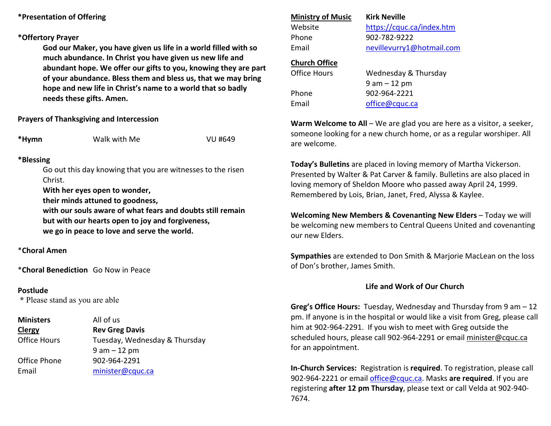### **\*Presentation of Offering**

#### **\*Offertory Prayer**

**God our Maker, you have given us life in a world filled with so much abundance. In Christ you have given us new life and abundant hope. We offer our gifts to you, knowing they are part of your abundance. Bless them and bless us, that we may bring hope and new life in Christ's name to a world that so badly needs these gifts. Amen.** 

### **Prayers of Thanksgiving and Intercession**

**\*Hymn** Walk with Me VU #649

# **\*Blessing**

Go out this day knowing that you are witnesses to the risen Christ.

**With her eyes open to wonder,** 

 **their minds attuned to goodness,** 

 **with our souls aware of what fears and doubts still remain but with our hearts open to joy and forgiveness, we go in peace to love and serve the world.** 

\***Choral Amen** 

\***Choral Benediction** Go Now in Peace

### **Postlude**

 **\*** Please stand as you are able

**Ministers** All of us **ClergyClergy Rev Greg Davis**<br> **Clergy Rev Greg Davis**<br> **Rev Greg Davis** Tuesday, Wednesday & Thursday 9 am – 12 pm Office Phone 902-964-2291 Email minister@cquc.ca

# **Ministry of Music**Phone 902-782-9222

 **Kirk Neville**Website https://cquc.ca/index.htm Email nevillevurry1@hotmail.com

## **Church Office**

Office Hours Phone 902-964-2221 Email office@cquc.ca

Wednesday & Thursday 9 am – 12 pm

**Warm Welcome to All** – We are glad you are here as a visitor, a seeker,someone looking for a new church home, or as a regular worshiper. All are welcome.

**Today's Bulletins** are placed in loving memory of Martha Vickerson. Presented by Walter & Pat Carver & family. Bulletins are also placed in loving memory of Sheldon Moore who passed away April 24, 1999. Remembered by Lois, Brian, Janet, Fred, Alyssa & Kaylee.

**Welcoming New Members & Covenanting New Elders** – Today we will be welcoming new members to Central Queens United and covenanting our new Elders.

**Sympathies** are extended to Don Smith & Marjorie MacLean on the loss of Don's brother, James Smith.

## **Life and Work of Our Church**

**Greg's Office Hours:** Tuesday, Wednesday and Thursday from 9 am – 12 pm. If anyone is in the hospital or would like a visit from Greg, please call him at 902-964-2291. If you wish to meet with Greg outside the scheduled hours, please call 902-964-2291 or email minister@cquc.ca for an appointment.

**In-Church Services:** Registration is **required**. To registration, please call 902-964-2221 or email office@cquc.ca. Masks **are required**. If you are registering **after 12 pm Thursday**, please text or call Velda at 902-940- 7674.